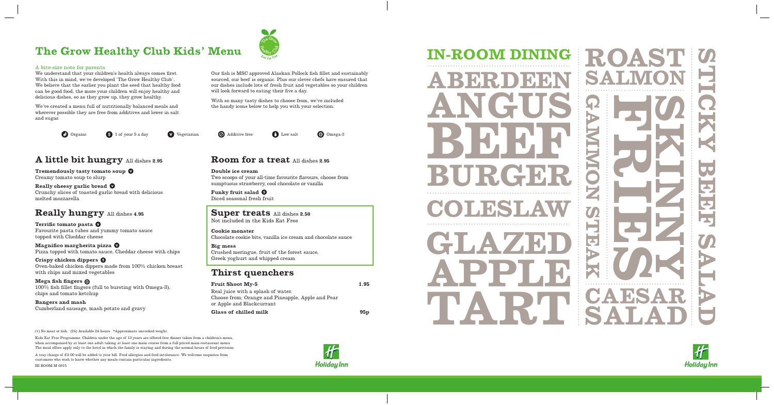

## **The Grow Healthy Club Kids' Menu**



#### A bite-size note for parents

We understand that your children's health always comes first. With this in mind, we've developed 'The Grow Healthy Club'. We believe that the earlier you plant the seed that healthy food can be good food, the more your children will enjoy healthy and delicious dishes, so as they grow up, they grow healthy.

We've created a menu full of nutritionally balanced meals and wherever possible they are free from additives and lower in salt and sugar.

Our fish is MSC approved Alaskan Pollock fish fillet and sustainably sourced, our beef is organic. Plus our clever chefs have ensured that our dishes include lots of fresh fruit and vegetables so your children will look forward to eating their five a day.

With so many tasty dishes to choose from, we've included the handy icons below to help you with your selection:

(v) No meat or fish. (24) Available 24 hours. \*Approximate uncooked weight.

Kids Eat Free Programme. Children under the age of 13 years are offered free dinner taken from a children's menu, when accompanied by at least one adult taking at least one main course from a full priced main restaurant menu. The meal offers apply only to the hotel in which the family is staying and during the normal hours of food provision.

A tray charge of £3.00 will be added to your bill. Food allergies and food intolerance: We welcome enquiries from customers who wish to know whether any meals contain particular ingredients.

HI.ROOM.M.0815



**A little bit hungry** All dishes **2.95**

**Tremendously tasty tomato soup**

Creamy tomato soup to slurp **Really cheesy garlic bread**

Crunchy slices of toasted garlic bread with delicious

melted mozzarella





**Really hungry** All dishes **4.95**

**Terrific tomato pasta** 

Favourite pasta tubes and yummy tomato sauce

topped with Cheddar cheese **Magnifico margherita pizza** 

Pizza topped with tomato sauce, Cheddar cheese with chips

**Crispy chicken dippers** 

Oven-baked chicken dippers made from 100% chicken breast

with chips and mixed vegetables

**Mega fish fingers** 

100% fish fillet fingers (full to bursting with Omega-3),

chips and tomato ketchup **Bangers and mash**

Cumberland sausage, mash potato and gravy

#### **Room for a treat** All dishes **2.95**

**Double ice cream** Two scoops of your all-time favourite flavours, choose from sumptuous strawberry, cool chocolate or vanilla

**Funky fruit salad** Diced seasonal fresh fruit

#### **Super treats** All dishes **2.50**

Not included in the Kids Eat Free

**Cookie monster** 

Chocolate cookie bits, vanilla ice cream and chocolate sauce

**Big mess** Crushed meringue, fruit of the forest sauce, Greek yoghurt and whipped cream

#### **Thirst quenchers**

| <b>Fruit Shoot My-5</b>                           | 1.95 |
|---------------------------------------------------|------|
| Real juice with a splash of water.                |      |
| Choose from; Orange and Pineapple, Apple and Pear |      |
| or Apple and Blackcurrant                         |      |
| Glass of chilled milk                             | 95p  |





**COLESLAW ABERDEEN ANGUS BEEF BURGER GLAZED APPLE TART**